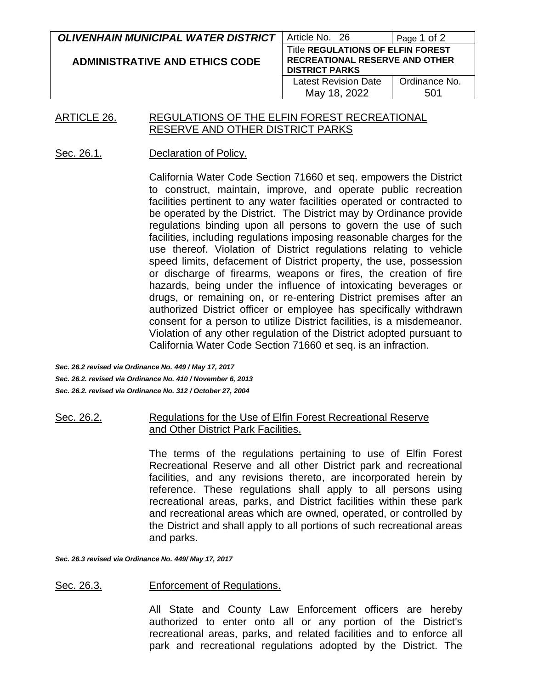| <b>OLIVENHAIN MUNICIPAL WATER DISTRICT</b> | Article No. 26                                                                                             | Page 1 of 2          |
|--------------------------------------------|------------------------------------------------------------------------------------------------------------|----------------------|
| <b>ADMINISTRATIVE AND ETHICS CODE</b>      | <b>Title REGULATIONS OF ELFIN FOREST</b><br><b>RECREATIONAL RESERVE AND OTHER</b><br><b>DISTRICT PARKS</b> |                      |
|                                            | <b>Latest Revision Date</b><br>May 18, 2022                                                                | Ordinance No.<br>501 |

#### ARTICLE 26. REGULATIONS OF THE ELFIN FOREST RECREATIONAL RESERVE AND OTHER DISTRICT PARKS

#### Sec. 26.1. Declaration of Policy.

California Water Code Section 71660 et seq. empowers the District to construct, maintain, improve, and operate public recreation facilities pertinent to any water facilities operated or contracted to be operated by the District. The District may by Ordinance provide regulations binding upon all persons to govern the use of such facilities, including regulations imposing reasonable charges for the use thereof. Violation of District regulations relating to vehicle speed limits, defacement of District property, the use, possession or discharge of firearms, weapons or fires, the creation of fire hazards, being under the influence of intoxicating beverages or drugs, or remaining on, or re-entering District premises after an authorized District officer or employee has specifically withdrawn consent for a person to utilize District facilities, is a misdemeanor. Violation of any other regulation of the District adopted pursuant to California Water Code Section 71660 et seq. is an infraction.

*Sec. 26.2 revised via Ordinance No. 449 / May 17, 2017 Sec. 26.2. revised via Ordinance No. 410 / November 6, 2013 Sec. 26.2. revised via Ordinance No. 312 / October 27, 2004*

#### Sec. 26.2. Regulations for the Use of Elfin Forest Recreational Reserve and Other District Park Facilities.

The terms of the regulations pertaining to use of Elfin Forest Recreational Reserve and all other District park and recreational facilities, and any revisions thereto, are incorporated herein by reference. These regulations shall apply to all persons using recreational areas, parks, and District facilities within these park and recreational areas which are owned, operated, or controlled by the District and shall apply to all portions of such recreational areas and parks.

*Sec. 26.3 revised via Ordinance No. 449/ May 17, 2017*

#### Sec. 26.3. Enforcement of Regulations.

All State and County Law Enforcement officers are hereby authorized to enter onto all or any portion of the District's recreational areas, parks, and related facilities and to enforce all park and recreational regulations adopted by the District. The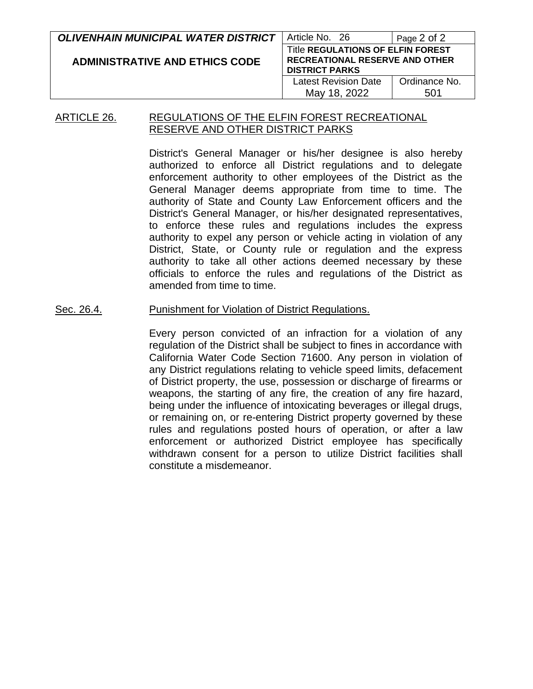| <b>OLIVENHAIN MUNICIPAL WATER DISTRICT</b> | Article No. 26                                                                                      | Page 2 of 2          |
|--------------------------------------------|-----------------------------------------------------------------------------------------------------|----------------------|
| <b>ADMINISTRATIVE AND ETHICS CODE</b>      | Title REGULATIONS OF ELFIN FOREST<br><b>RECREATIONAL RESERVE AND OTHER</b><br><b>DISTRICT PARKS</b> |                      |
|                                            | <b>Latest Revision Date</b><br>May 18, 2022                                                         | Ordinance No.<br>501 |

#### ARTICLE 26. REGULATIONS OF THE ELFIN FOREST RECREATIONAL RESERVE AND OTHER DISTRICT PARKS

District's General Manager or his/her designee is also hereby authorized to enforce all District regulations and to delegate enforcement authority to other employees of the District as the General Manager deems appropriate from time to time. The authority of State and County Law Enforcement officers and the District's General Manager, or his/her designated representatives, to enforce these rules and regulations includes the express authority to expel any person or vehicle acting in violation of any District, State, or County rule or regulation and the express authority to take all other actions deemed necessary by these officials to enforce the rules and regulations of the District as amended from time to time.

#### Sec. 26.4. Punishment for Violation of District Regulations.

Every person convicted of an infraction for a violation of any regulation of the District shall be subject to fines in accordance with California Water Code Section 71600. Any person in violation of any District regulations relating to vehicle speed limits, defacement of District property, the use, possession or discharge of firearms or weapons, the starting of any fire, the creation of any fire hazard, being under the influence of intoxicating beverages or illegal drugs, or remaining on, or re-entering District property governed by these rules and regulations posted hours of operation, or after a law enforcement or authorized District employee has specifically withdrawn consent for a person to utilize District facilities shall constitute a misdemeanor.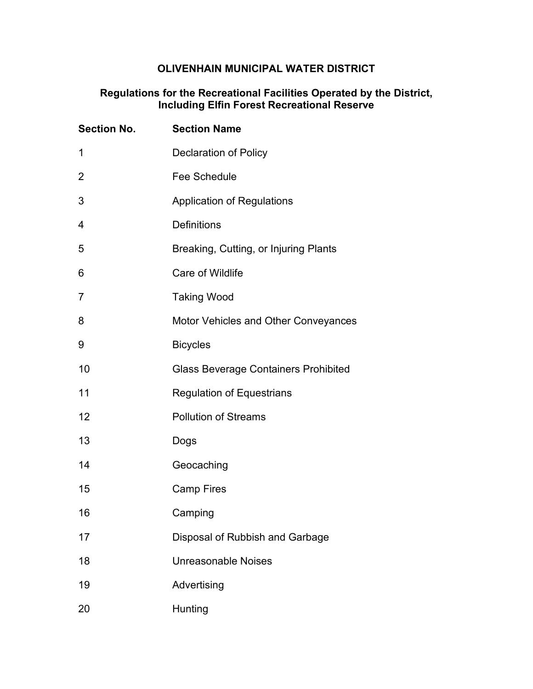# **OLIVENHAIN MUNICIPAL WATER DISTRICT**

#### **Regulations for the Recreational Facilities Operated by the District, Including Elfin Forest Recreational Reserve**

| <b>Section No.</b> | <b>Section Name</b>                         |
|--------------------|---------------------------------------------|
| 1                  | <b>Declaration of Policy</b>                |
| 2                  | <b>Fee Schedule</b>                         |
| 3                  | <b>Application of Regulations</b>           |
| 4                  | <b>Definitions</b>                          |
| 5                  | Breaking, Cutting, or Injuring Plants       |
| 6                  | Care of Wildlife                            |
| $\overline{7}$     | <b>Taking Wood</b>                          |
| 8                  | <b>Motor Vehicles and Other Conveyances</b> |
| 9                  | <b>Bicycles</b>                             |
| 10                 | <b>Glass Beverage Containers Prohibited</b> |
| 11                 | <b>Regulation of Equestrians</b>            |
| 12                 | <b>Pollution of Streams</b>                 |
| 13                 | Dogs                                        |
| 14                 | Geocaching                                  |
| 15                 | <b>Camp Fires</b>                           |
| 16                 | Camping                                     |
| 17                 | Disposal of Rubbish and Garbage             |
| 18                 | <b>Unreasonable Noises</b>                  |
| 19                 | Advertising                                 |
| 20                 | Hunting                                     |
|                    |                                             |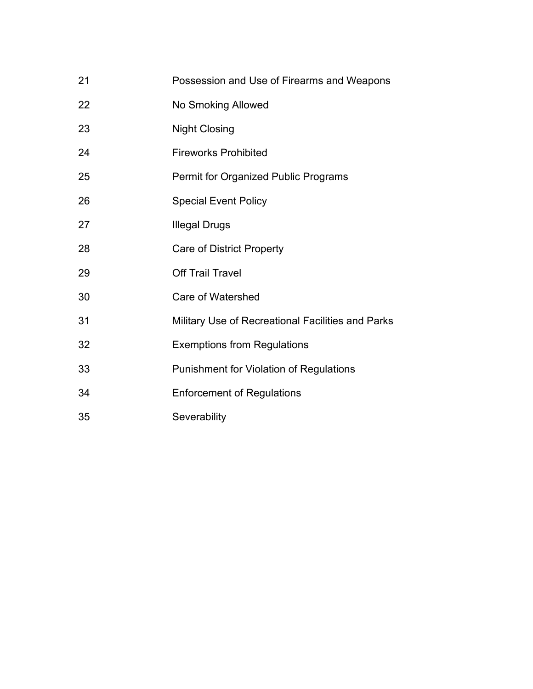- Possession and Use of Firearms and Weapons
- No Smoking Allowed
- Night Closing
- Fireworks Prohibited
- Permit for Organized Public Programs
- Special Event Policy
- **Illegal Drugs**
- Care of District Property
- Off Trail Travel
- Care of Watershed
- Military Use of Recreational Facilities and Parks
- Exemptions from Regulations
- Punishment for Violation of Regulations
- Enforcement of Regulations
- Severability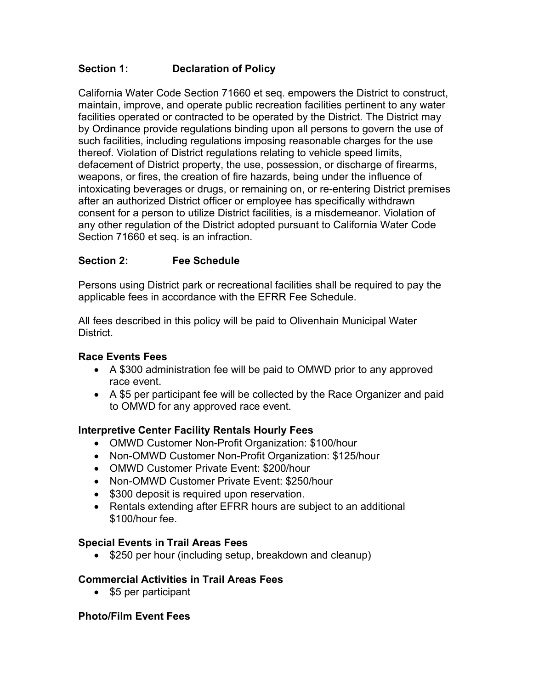## **Section 1: Declaration of Policy**

California Water Code Section 71660 et seq. empowers the District to construct, maintain, improve, and operate public recreation facilities pertinent to any water facilities operated or contracted to be operated by the District. The District may by Ordinance provide regulations binding upon all persons to govern the use of such facilities, including regulations imposing reasonable charges for the use thereof. Violation of District regulations relating to vehicle speed limits, defacement of District property, the use, possession, or discharge of firearms, weapons, or fires, the creation of fire hazards, being under the influence of intoxicating beverages or drugs, or remaining on, or re-entering District premises after an authorized District officer or employee has specifically withdrawn consent for a person to utilize District facilities, is a misdemeanor. Violation of any other regulation of the District adopted pursuant to California Water Code Section 71660 et seq. is an infraction.

## **Section 2: Fee Schedule**

Persons using District park or recreational facilities shall be required to pay the applicable fees in accordance with the EFRR Fee Schedule.

All fees described in this policy will be paid to Olivenhain Municipal Water District.

### **Race Events Fees**

- A \$300 administration fee will be paid to OMWD prior to any approved race event.
- A \$5 per participant fee will be collected by the Race Organizer and paid to OMWD for any approved race event.

### **Interpretive Center Facility Rentals Hourly Fees**

- OMWD Customer Non-Profit Organization: \$100/hour
- Non-OMWD Customer Non-Profit Organization: \$125/hour
- OMWD Customer Private Event: \$200/hour
- Non-OMWD Customer Private Event: \$250/hour
- \$300 deposit is required upon reservation.
- Rentals extending after EFRR hours are subject to an additional \$100/hour fee.

### **Special Events in Trail Areas Fees**

• \$250 per hour (including setup, breakdown and cleanup)

### **Commercial Activities in Trail Areas Fees**

• \$5 per participant

### **Photo/Film Event Fees**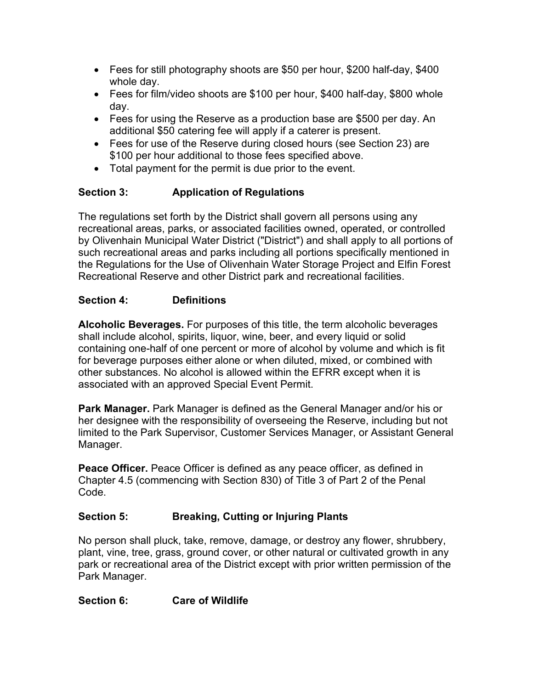- Fees for still photography shoots are \$50 per hour, \$200 half-day, \$400 whole day.
- Fees for film/video shoots are \$100 per hour, \$400 half-day, \$800 whole day.
- Fees for using the Reserve as a production base are \$500 per day. An additional \$50 catering fee will apply if a caterer is present.
- Fees for use of the Reserve during closed hours (see Section 23) are \$100 per hour additional to those fees specified above.
- Total payment for the permit is due prior to the event.

# **Section 3: Application of Regulations**

The regulations set forth by the District shall govern all persons using any recreational areas, parks, or associated facilities owned, operated, or controlled by Olivenhain Municipal Water District ("District") and shall apply to all portions of such recreational areas and parks including all portions specifically mentioned in the Regulations for the Use of Olivenhain Water Storage Project and Elfin Forest Recreational Reserve and other District park and recreational facilities.

## **Section 4: Definitions**

**Alcoholic Beverages.** For purposes of this title, the term alcoholic beverages shall include alcohol, spirits, liquor, wine, beer, and every liquid or solid containing one-half of one percent or more of alcohol by volume and which is fit for beverage purposes either alone or when diluted, mixed, or combined with other substances. No alcohol is allowed within the EFRR except when it is associated with an approved Special Event Permit.

**Park Manager.** Park Manager is defined as the General Manager and/or his or her designee with the responsibility of overseeing the Reserve, including but not limited to the Park Supervisor, Customer Services Manager, or Assistant General Manager.

**Peace Officer.** Peace Officer is defined as any peace officer, as defined in Chapter 4.5 (commencing with Section 830) of Title 3 of Part 2 of the Penal Code.

### **Section 5: Breaking, Cutting or Injuring Plants**

No person shall pluck, take, remove, damage, or destroy any flower, shrubbery, plant, vine, tree, grass, ground cover, or other natural or cultivated growth in any park or recreational area of the District except with prior written permission of the Park Manager.

**Section 6: Care of Wildlife**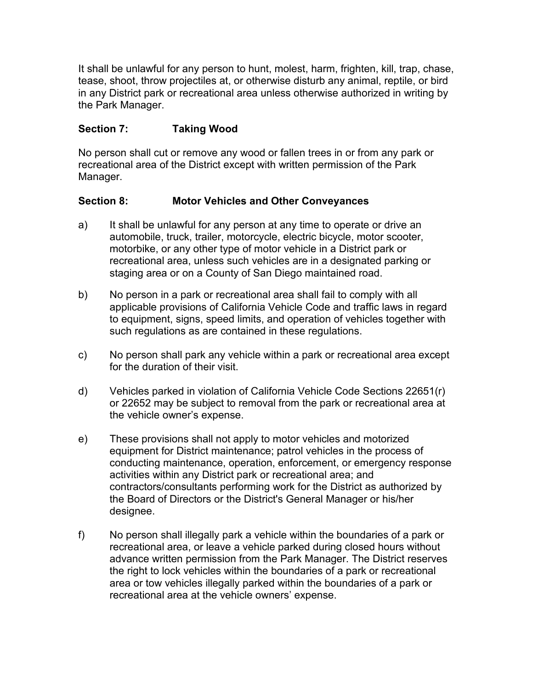It shall be unlawful for any person to hunt, molest, harm, frighten, kill, trap, chase, tease, shoot, throw projectiles at, or otherwise disturb any animal, reptile, or bird in any District park or recreational area unless otherwise authorized in writing by the Park Manager.

### **Section 7: Taking Wood**

No person shall cut or remove any wood or fallen trees in or from any park or recreational area of the District except with written permission of the Park Manager.

### **Section 8: Motor Vehicles and Other Conveyances**

- a) It shall be unlawful for any person at any time to operate or drive an automobile, truck, trailer, motorcycle, electric bicycle, motor scooter, motorbike, or any other type of motor vehicle in a District park or recreational area, unless such vehicles are in a designated parking or staging area or on a County of San Diego maintained road.
- b) No person in a park or recreational area shall fail to comply with all applicable provisions of California Vehicle Code and traffic laws in regard to equipment, signs, speed limits, and operation of vehicles together with such regulations as are contained in these regulations.
- c) No person shall park any vehicle within a park or recreational area except for the duration of their visit.
- d) Vehicles parked in violation of California Vehicle Code Sections 22651(r) or 22652 may be subject to removal from the park or recreational area at the vehicle owner's expense.
- e) These provisions shall not apply to motor vehicles and motorized equipment for District maintenance; patrol vehicles in the process of conducting maintenance, operation, enforcement, or emergency response activities within any District park or recreational area; and contractors/consultants performing work for the District as authorized by the Board of Directors or the District's General Manager or his/her designee.
- f) No person shall illegally park a vehicle within the boundaries of a park or recreational area, or leave a vehicle parked during closed hours without advance written permission from the Park Manager. The District reserves the right to lock vehicles within the boundaries of a park or recreational area or tow vehicles illegally parked within the boundaries of a park or recreational area at the vehicle owners' expense.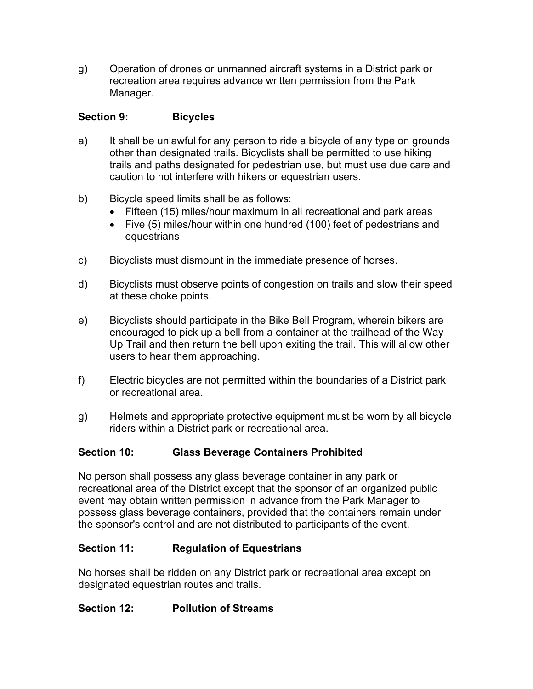g) Operation of drones or unmanned aircraft systems in a District park or recreation area requires advance written permission from the Park Manager.

## **Section 9: Bicycles**

- a) It shall be unlawful for any person to ride a bicycle of any type on grounds other than designated trails. Bicyclists shall be permitted to use hiking trails and paths designated for pedestrian use, but must use due care and caution to not interfere with hikers or equestrian users.
- b) Bicycle speed limits shall be as follows:
	- Fifteen (15) miles/hour maximum in all recreational and park areas
	- Five (5) miles/hour within one hundred (100) feet of pedestrians and equestrians
- c) Bicyclists must dismount in the immediate presence of horses.
- d) Bicyclists must observe points of congestion on trails and slow their speed at these choke points.
- e) Bicyclists should participate in the Bike Bell Program, wherein bikers are encouraged to pick up a bell from a container at the trailhead of the Way Up Trail and then return the bell upon exiting the trail. This will allow other users to hear them approaching.
- f) Electric bicycles are not permitted within the boundaries of a District park or recreational area.
- g) Helmets and appropriate protective equipment must be worn by all bicycle riders within a District park or recreational area.

# **Section 10: Glass Beverage Containers Prohibited**

No person shall possess any glass beverage container in any park or recreational area of the District except that the sponsor of an organized public event may obtain written permission in advance from the Park Manager to possess glass beverage containers, provided that the containers remain under the sponsor's control and are not distributed to participants of the event.

### **Section 11: Regulation of Equestrians**

No horses shall be ridden on any District park or recreational area except on designated equestrian routes and trails.

### **Section 12: Pollution of Streams**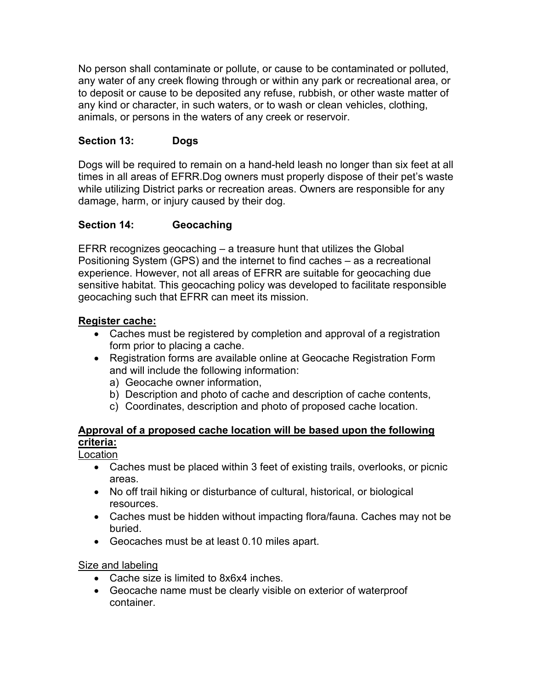No person shall contaminate or pollute, or cause to be contaminated or polluted, any water of any creek flowing through or within any park or recreational area, or to deposit or cause to be deposited any refuse, rubbish, or other waste matter of any kind or character, in such waters, or to wash or clean vehicles, clothing, animals, or persons in the waters of any creek or reservoir.

### **Section 13: Dogs**

Dogs will be required to remain on a hand-held leash no longer than six feet at all times in all areas of EFRR.Dog owners must properly dispose of their pet's waste while utilizing District parks or recreation areas. Owners are responsible for any damage, harm, or injury caused by their dog.

### **Section 14: Geocaching**

EFRR recognizes geocaching – a treasure hunt that utilizes the Global Positioning System (GPS) and the internet to find caches – as a recreational experience. However, not all areas of EFRR are suitable for geocaching due sensitive habitat. This geocaching policy was developed to facilitate responsible geocaching such that EFRR can meet its mission.

#### **Register cache:**

- Caches must be registered by completion and approval of a registration form prior to placing a cache.
- Registration forms are available online at Geocache Registration Form and will include the following information:
	- a) Geocache owner information,
	- b) Description and photo of cache and description of cache contents,
	- c) Coordinates, description and photo of proposed cache location.

# **Approval of a proposed cache location will be based upon the following criteria:**

Location

- Caches must be placed within 3 feet of existing trails, overlooks, or picnic areas.
- No off trail hiking or disturbance of cultural, historical, or biological resources.
- Caches must be hidden without impacting flora/fauna. Caches may not be buried.
- Geocaches must be at least 0.10 miles apart.

#### Size and labeling

- Cache size is limited to 8x6x4 inches.
- Geocache name must be clearly visible on exterior of waterproof container.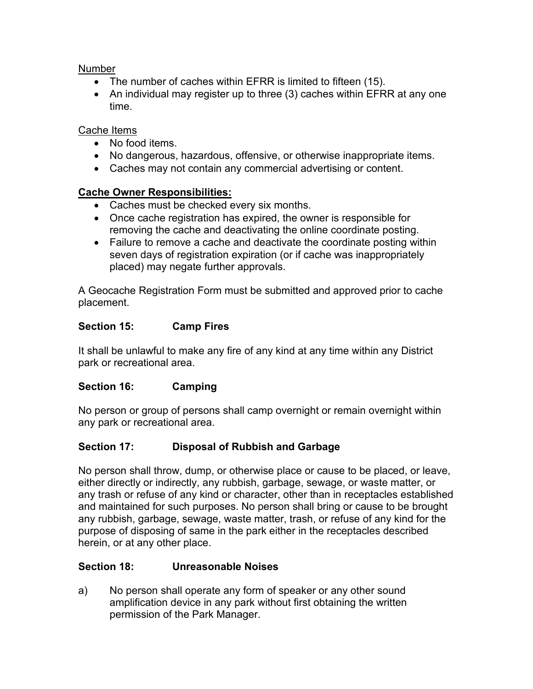#### **Number**

- The number of caches within EFRR is limited to fifteen (15).
- An individual may register up to three (3) caches within EFRR at any one time.

#### Cache Items

- No food items.
- No dangerous, hazardous, offensive, or otherwise inappropriate items.
- Caches may not contain any commercial advertising or content.

### **Cache Owner Responsibilities:**

- Caches must be checked every six months.
- Once cache registration has expired, the owner is responsible for removing the cache and deactivating the online coordinate posting.
- Failure to remove a cache and deactivate the coordinate posting within seven days of registration expiration (or if cache was inappropriately placed) may negate further approvals.

A Geocache Registration Form must be submitted and approved prior to cache placement.

### **Section 15: Camp Fires**

It shall be unlawful to make any fire of any kind at any time within any District park or recreational area.

### **Section 16: Camping**

No person or group of persons shall camp overnight or remain overnight within any park or recreational area.

# **Section 17: Disposal of Rubbish and Garbage**

No person shall throw, dump, or otherwise place or cause to be placed, or leave, either directly or indirectly, any rubbish, garbage, sewage, or waste matter, or any trash or refuse of any kind or character, other than in receptacles established and maintained for such purposes. No person shall bring or cause to be brought any rubbish, garbage, sewage, waste matter, trash, or refuse of any kind for the purpose of disposing of same in the park either in the receptacles described herein, or at any other place.

### **Section 18: Unreasonable Noises**

a) No person shall operate any form of speaker or any other sound amplification device in any park without first obtaining the written permission of the Park Manager.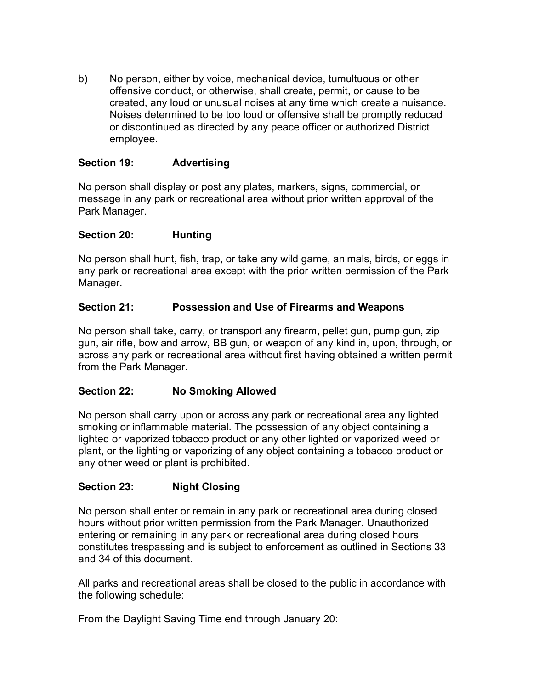b) No person, either by voice, mechanical device, tumultuous or other offensive conduct, or otherwise, shall create, permit, or cause to be created, any loud or unusual noises at any time which create a nuisance. Noises determined to be too loud or offensive shall be promptly reduced or discontinued as directed by any peace officer or authorized District employee.

#### **Section 19: Advertising**

No person shall display or post any plates, markers, signs, commercial, or message in any park or recreational area without prior written approval of the Park Manager.

#### **Section 20: Hunting**

No person shall hunt, fish, trap, or take any wild game, animals, birds, or eggs in any park or recreational area except with the prior written permission of the Park Manager.

#### **Section 21: Possession and Use of Firearms and Weapons**

No person shall take, carry, or transport any firearm, pellet gun, pump gun, zip gun, air rifle, bow and arrow, BB gun, or weapon of any kind in, upon, through, or across any park or recreational area without first having obtained a written permit from the Park Manager.

### **Section 22: No Smoking Allowed**

No person shall carry upon or across any park or recreational area any lighted smoking or inflammable material. The possession of any object containing a lighted or vaporized tobacco product or any other lighted or vaporized weed or plant, or the lighting or vaporizing of any object containing a tobacco product or any other weed or plant is prohibited.

### **Section 23: Night Closing**

No person shall enter or remain in any park or recreational area during closed hours without prior written permission from the Park Manager. Unauthorized entering or remaining in any park or recreational area during closed hours constitutes trespassing and is subject to enforcement as outlined in Sections 33 and 34 of this document.

All parks and recreational areas shall be closed to the public in accordance with the following schedule:

From the Daylight Saving Time end through January 20: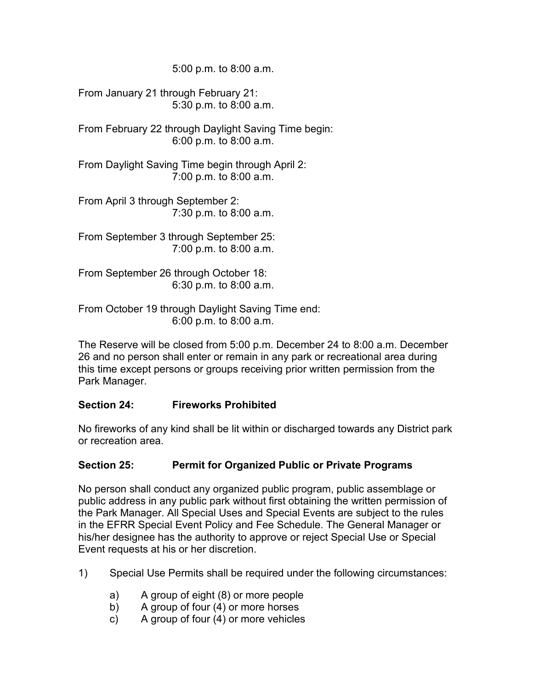5:00 p.m. to 8:00 a.m.

From January 21 through February 21: 5:30 p.m. to 8:00 a.m.

From February 22 through Daylight Saving Time begin: 6:00 p.m. to 8:00 a.m.

From Daylight Saving Time begin through April 2: 7:00 p.m. to 8:00 a.m.

From April 3 through September 2: 7:30 p.m. to 8:00 a.m.

From September 3 through September 25: 7:00 p.m. to 8:00 a.m.

From September 26 through October 18: 6:30 p.m. to 8:00 a.m.

From October 19 through Daylight Saving Time end: 6:00 p.m. to 8:00 a.m.

The Reserve will be closed from 5:00 p.m. December 24 to 8:00 a.m. December 26 and no person shall enter or remain in any park or recreational area during this time except persons or groups receiving prior written permission from the Park Manager.

#### **Section 24: Fireworks Prohibited**

No fireworks of any kind shall be lit within or discharged towards any District park or recreation area.

### **Section 25: Permit for Organized Public or Private Programs**

No person shall conduct any organized public program, public assemblage or public address in any public park without first obtaining the written permission of the Park Manager. All Special Uses and Special Events are subject to the rules in the EFRR Special Event Policy and Fee Schedule. The General Manager or his/her designee has the authority to approve or reject Special Use or Special Event requests at his or her discretion.

- 1) Special Use Permits shall be required under the following circumstances:
	- a) A group of eight (8) or more people
	- b) A group of four (4) or more horses
	- c) A group of four (4) or more vehicles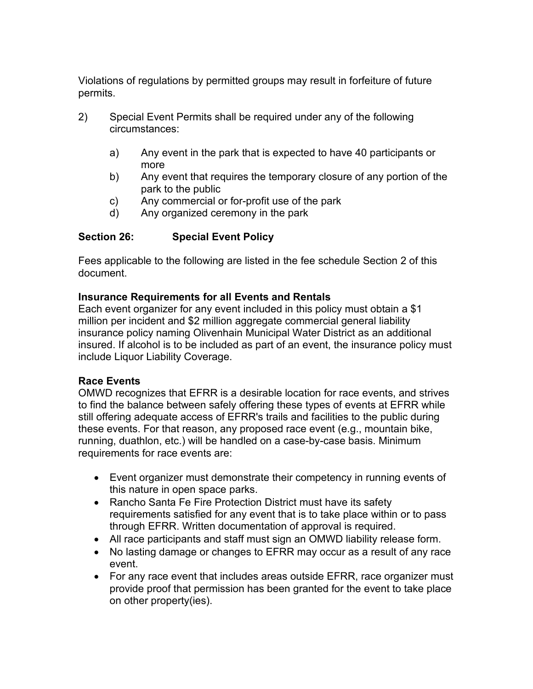Violations of regulations by permitted groups may result in forfeiture of future permits.

- 2) Special Event Permits shall be required under any of the following circumstances:
	- a) Any event in the park that is expected to have 40 participants or more
	- b) Any event that requires the temporary closure of any portion of the park to the public
	- c) Any commercial or for-profit use of the park
	- d) Any organized ceremony in the park

## **Section 26: Special Event Policy**

Fees applicable to the following are listed in the fee schedule Section 2 of this document.

## **Insurance Requirements for all Events and Rentals**

Each event organizer for any event included in this policy must obtain a \$1 million per incident and \$2 million aggregate commercial general liability insurance policy naming Olivenhain Municipal Water District as an additional insured. If alcohol is to be included as part of an event, the insurance policy must include Liquor Liability Coverage.

### **Race Events**

OMWD recognizes that EFRR is a desirable location for race events, and strives to find the balance between safely offering these types of events at EFRR while still offering adequate access of EFRR's trails and facilities to the public during these events. For that reason, any proposed race event (e.g., mountain bike, running, duathlon, etc.) will be handled on a case-by-case basis. Minimum requirements for race events are:

- Event organizer must demonstrate their competency in running events of this nature in open space parks.
- Rancho Santa Fe Fire Protection District must have its safety requirements satisfied for any event that is to take place within or to pass through EFRR. Written documentation of approval is required.
- All race participants and staff must sign an OMWD liability release form.
- No lasting damage or changes to EFRR may occur as a result of any race event.
- For any race event that includes areas outside EFRR, race organizer must provide proof that permission has been granted for the event to take place on other property(ies).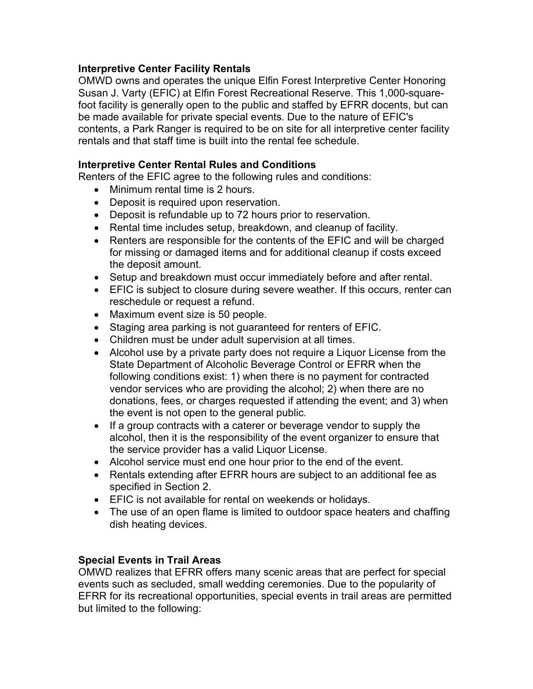#### **Interpretive Center Facility Rentals**

OMWD owns and operates the unique Elfin Forest Interpretive Center Honoring Susan J. Varty (EFIC) at Elfin Forest Recreational Reserve. This 1,000-squarefoot facility is generally open to the public and staffed by EFRR docents, but can be made available for private special events. Due to the nature of EFIC's contents, a Park Ranger is required to be on site for all interpretive center facility rentals and that staff time is built into the rental fee schedule.

#### **Interpretive Center Rental Rules and Conditions**

Renters of the EFIC agree to the following rules and conditions:

- Minimum rental time is 2 hours.
- Deposit is required upon reservation.
- Deposit is refundable up to 72 hours prior to reservation.
- Rental time includes setup, breakdown, and cleanup of facility.
- Renters are responsible for the contents of the EFIC and will be charged for missing or damaged items and for additional cleanup if costs exceed the deposit amount.
- Setup and breakdown must occur immediately before and after rental.
- EFIC is subject to closure during severe weather. If this occurs, renter can reschedule or request a refund.
- Maximum event size is 50 people.
- Staging area parking is not guaranteed for renters of EFIC.
- Children must be under adult supervision at all times.
- Alcohol use by a private party does not require a Liquor License from the State Department of Alcoholic Beverage Control or EFRR when the following conditions exist: 1) when there is no payment for contracted vendor services who are providing the alcohol; 2) when there are no donations, fees, or charges requested if attending the event; and 3) when the event is not open to the general public.
- If a group contracts with a caterer or beverage vendor to supply the alcohol, then it is the responsibility of the event organizer to ensure that the service provider has a valid Liquor License.
- Alcohol service must end one hour prior to the end of the event.
- Rentals extending after EFRR hours are subject to an additional fee as specified in Section 2.
- EFIC is not available for rental on weekends or holidays.
- The use of an open flame is limited to outdoor space heaters and chaffing dish heating devices.

#### **Special Events in Trail Areas**

OMWD realizes that EFRR offers many scenic areas that are perfect for special events such as secluded, small wedding ceremonies. Due to the popularity of EFRR for its recreational opportunities, special events in trail areas are permitted but limited to the following: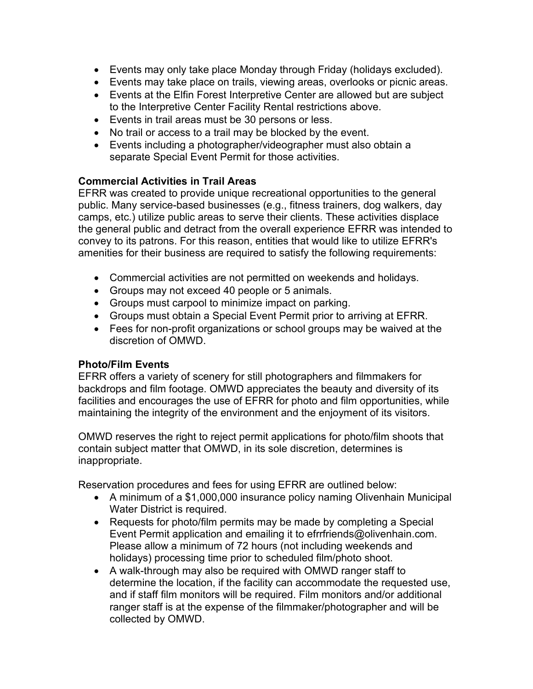- Events may only take place Monday through Friday (holidays excluded).
- Events may take place on trails, viewing areas, overlooks or picnic areas.
- Events at the Elfin Forest Interpretive Center are allowed but are subject to the Interpretive Center Facility Rental restrictions above.
- Events in trail areas must be 30 persons or less.
- No trail or access to a trail may be blocked by the event.
- Events including a photographer/videographer must also obtain a separate Special Event Permit for those activities.

### **Commercial Activities in Trail Areas**

EFRR was created to provide unique recreational opportunities to the general public. Many service-based businesses (e.g., fitness trainers, dog walkers, day camps, etc.) utilize public areas to serve their clients. These activities displace the general public and detract from the overall experience EFRR was intended to convey to its patrons. For this reason, entities that would like to utilize EFRR's amenities for their business are required to satisfy the following requirements:

- Commercial activities are not permitted on weekends and holidays.
- Groups may not exceed 40 people or 5 animals.
- Groups must carpool to minimize impact on parking.
- Groups must obtain a Special Event Permit prior to arriving at EFRR.
- Fees for non-profit organizations or school groups may be waived at the discretion of OMWD.

#### **Photo/Film Events**

EFRR offers a variety of scenery for still photographers and filmmakers for backdrops and film footage. OMWD appreciates the beauty and diversity of its facilities and encourages the use of EFRR for photo and film opportunities, while maintaining the integrity of the environment and the enjoyment of its visitors.

OMWD reserves the right to reject permit applications for photo/film shoots that contain subject matter that OMWD, in its sole discretion, determines is inappropriate.

Reservation procedures and fees for using EFRR are outlined below:

- A minimum of a \$1,000,000 insurance policy naming Olivenhain Municipal Water District is required.
- Requests for photo/film permits may be made by completing a Special Event Permit application and emailing it to efrrfriends@olivenhain.com. Please allow a minimum of 72 hours (not including weekends and holidays) processing time prior to scheduled film/photo shoot.
- A walk-through may also be required with OMWD ranger staff to determine the location, if the facility can accommodate the requested use, and if staff film monitors will be required. Film monitors and/or additional ranger staff is at the expense of the filmmaker/photographer and will be collected by OMWD.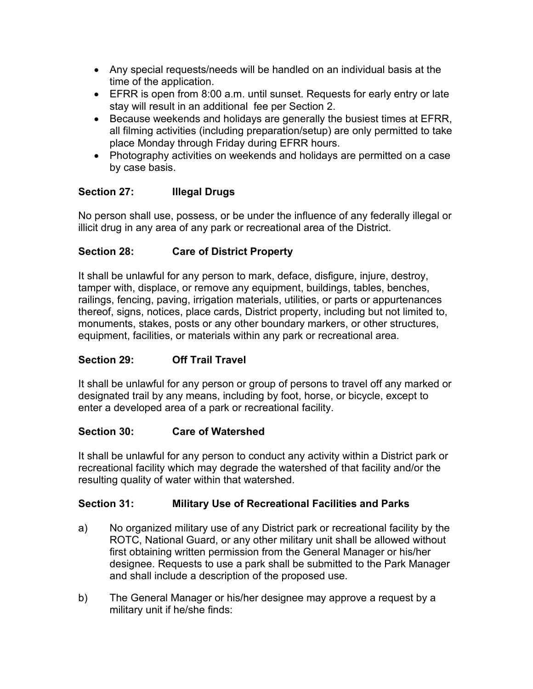- Any special requests/needs will be handled on an individual basis at the time of the application.
- EFRR is open from 8:00 a.m. until sunset. Requests for early entry or late stay will result in an additional fee per Section 2.
- Because weekends and holidays are generally the busiest times at EFRR, all filming activities (including preparation/setup) are only permitted to take place Monday through Friday during EFRR hours.
- Photography activities on weekends and holidays are permitted on a case by case basis.

# **Section 27: Illegal Drugs**

No person shall use, possess, or be under the influence of any federally illegal or illicit drug in any area of any park or recreational area of the District.

# **Section 28: Care of District Property**

It shall be unlawful for any person to mark, deface, disfigure, injure, destroy, tamper with, displace, or remove any equipment, buildings, tables, benches, railings, fencing, paving, irrigation materials, utilities, or parts or appurtenances thereof, signs, notices, place cards, District property, including but not limited to, monuments, stakes, posts or any other boundary markers, or other structures, equipment, facilities, or materials within any park or recreational area.

# **Section 29: Off Trail Travel**

It shall be unlawful for any person or group of persons to travel off any marked or designated trail by any means, including by foot, horse, or bicycle, except to enter a developed area of a park or recreational facility.

### **Section 30: Care of Watershed**

It shall be unlawful for any person to conduct any activity within a District park or recreational facility which may degrade the watershed of that facility and/or the resulting quality of water within that watershed.

# **Section 31: Military Use of Recreational Facilities and Parks**

- a) No organized military use of any District park or recreational facility by the ROTC, National Guard, or any other military unit shall be allowed without first obtaining written permission from the General Manager or his/her designee. Requests to use a park shall be submitted to the Park Manager and shall include a description of the proposed use.
- b) The General Manager or his/her designee may approve a request by a military unit if he/she finds: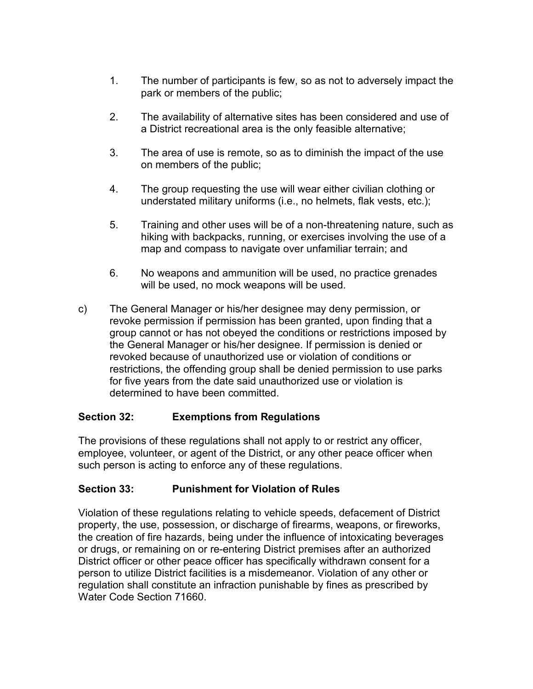- 1. The number of participants is few, so as not to adversely impact the park or members of the public;
- 2. The availability of alternative sites has been considered and use of a District recreational area is the only feasible alternative;
- 3. The area of use is remote, so as to diminish the impact of the use on members of the public;
- 4. The group requesting the use will wear either civilian clothing or understated military uniforms (i.e., no helmets, flak vests, etc.);
- 5. Training and other uses will be of a non-threatening nature, such as hiking with backpacks, running, or exercises involving the use of a map and compass to navigate over unfamiliar terrain; and
- 6. No weapons and ammunition will be used, no practice grenades will be used, no mock weapons will be used.
- c) The General Manager or his/her designee may deny permission, or revoke permission if permission has been granted, upon finding that a group cannot or has not obeyed the conditions or restrictions imposed by the General Manager or his/her designee. If permission is denied or revoked because of unauthorized use or violation of conditions or restrictions, the offending group shall be denied permission to use parks for five years from the date said unauthorized use or violation is determined to have been committed.

### **Section 32: Exemptions from Regulations**

The provisions of these regulations shall not apply to or restrict any officer, employee, volunteer, or agent of the District, or any other peace officer when such person is acting to enforce any of these regulations.

### **Section 33: Punishment for Violation of Rules**

Violation of these regulations relating to vehicle speeds, defacement of District property, the use, possession, or discharge of firearms, weapons, or fireworks, the creation of fire hazards, being under the influence of intoxicating beverages or drugs, or remaining on or re-entering District premises after an authorized District officer or other peace officer has specifically withdrawn consent for a person to utilize District facilities is a misdemeanor. Violation of any other or regulation shall constitute an infraction punishable by fines as prescribed by Water Code Section 71660.